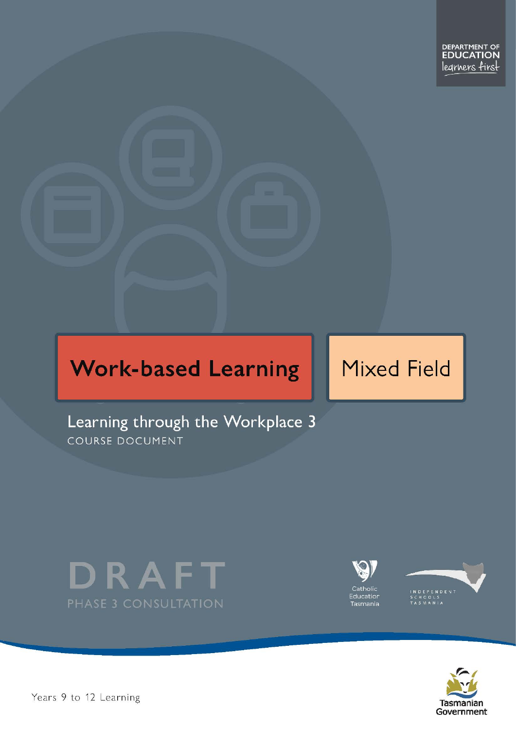# **Work-based Learning**

# **Mixed Field**

Learning through the Workplace 3 COURSE DOCUMENT







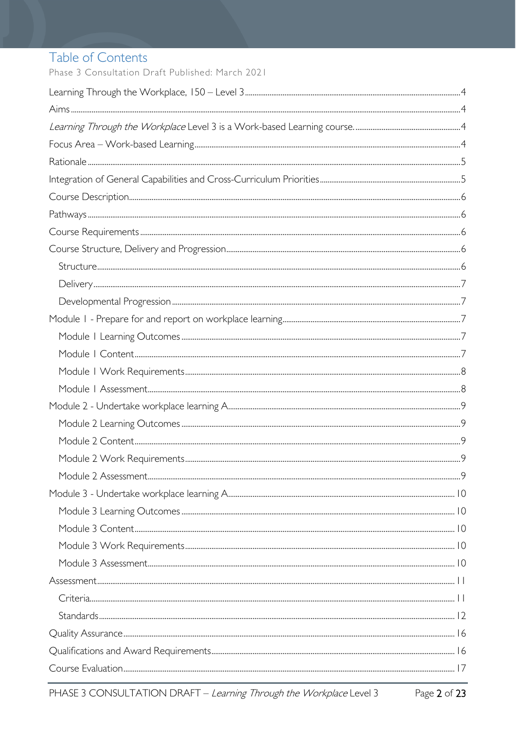# Table of Contents

Phase 3 Consultation Draft Published: March 2021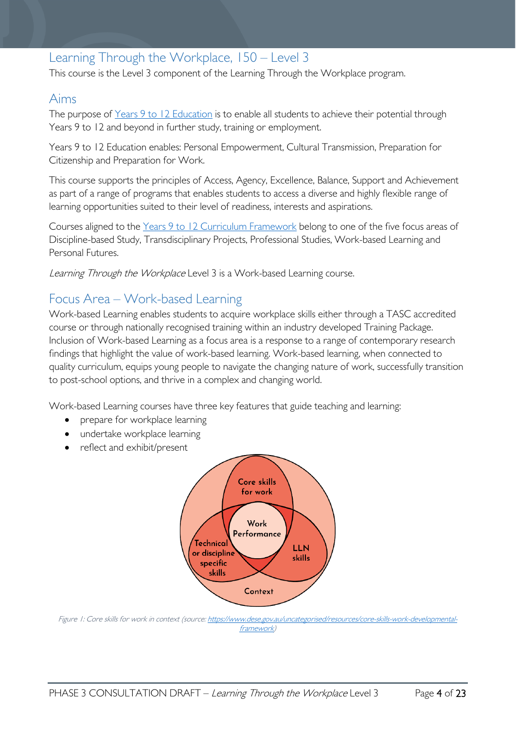# <span id="page-3-0"></span>Learning Through the Workplace, 150 – Level 3

This course is the Level 3 component of the Learning Through the Workplace program.

### <span id="page-3-1"></span>Aims

The purpose of Years 9 to 12 [Education](https://publicdocumentcentre.education.tas.gov.au/library/Shared%20Documents/Years-9-to-12-Education-Framework.pdf) is to enable all students to achieve their potential through Years 9 to 12 and beyond in further study, training or employment.

Years 9 to 12 Education enables: Personal Empowerment, Cultural Transmission, Preparation for Citizenship and Preparation for Work.

This course supports the principles of Access, Agency, Excellence, Balance, Support and Achievement as part of a range of programs that enables students to access a diverse and highly flexible range of learning opportunities suited to their level of readiness, interests and aspirations.

Courses aligned to the Years 9 to 12 Curriculum [Framework](https://publicdocumentcentre.education.tas.gov.au/library/Shared%20Documents/Education%209-12%20Frameworks%20A3%20WEB%20POSTER.pdf) belong to one of the five focus areas of Discipline-based Study, Transdisciplinary Projects, Professional Studies, Work-based Learning and Personal Futures.

<span id="page-3-2"></span>Learning Through the Workplace Level 3 is a Work-based Learning course.

# <span id="page-3-3"></span>Focus Area – Work-based Learning

Work-based Learning enables students to acquire workplace skills either through a TASC accredited course or through nationally recognised training within an industry developed Training Package. Inclusion of Work-based Learning as a focus area is a response to a range of contemporary research findings that highlight the value of work-based learning. Work-based learning, when connected to quality curriculum, equips young people to navigate the changing nature of work, successfully transition to post-school options, and thrive in a complex and changing world.

Work-based Learning courses have three key features that guide teaching and learning:

- prepare for workplace learning
- undertake workplace learning
- reflect and exhibit/present



Figure 1: Core skills for work in context (source[: https://www.dese.gov.au/uncategorised/resources/core-skills-work-developmental](https://www.dese.gov.au/uncategorised/resources/core-skills-work-developmental-framework)[framework\)](https://www.dese.gov.au/uncategorised/resources/core-skills-work-developmental-framework)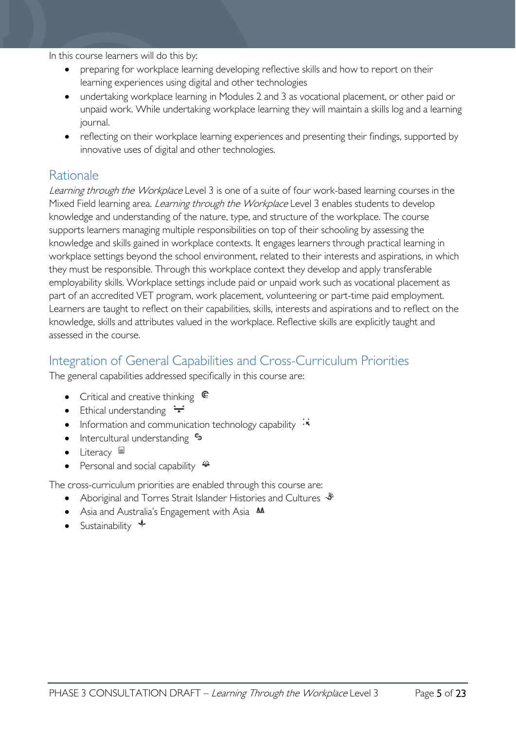In this course learners will do this by:

- preparing for workplace learning developing reflective skills and how to report on their learning experiences using digital and other technologies
- undertaking workplace learning in Modules 2 and 3 as vocational placement, or other paid or unpaid work. While undertaking workplace learning they will maintain a skills log and a learning journal.
- reflecting on their workplace learning experiences and presenting their findings, supported by innovative uses of digital and other technologies.

### <span id="page-4-0"></span>**Rationale**

Learning through the Workplace Level 3 is one of a suite of four work-based learning courses in the Mixed Field learning area. *Learning through the Workplace* Level 3 enables students to develop knowledge and understanding of the nature, type, and structure of the workplace. The course supports learners managing multiple responsibilities on top of their schooling by assessing the knowledge and skills gained in workplace contexts. It engages learners through practical learning in workplace settings beyond the school environment, related to their interests and aspirations, in which they must be responsible. Through this workplace context they develop and apply transferable employability skills. Workplace settings include paid or unpaid work such as vocational placement as part of an accredited VET program, work placement, volunteering or part-time paid employment. Learners are taught to reflect on their capabilities, skills, interests and aspirations and to reflect on the knowledge, skills and attributes valued in the workplace. Reflective skills are explicitly taught and assessed in the course.

# <span id="page-4-1"></span>Integration of General Capabilities and Cross-Curriculum Priorities

The general capabilities addressed specifically in this course are:

- Critical and creative thinking  $\mathbb{C}$
- Ethical understanding  $\pm$
- Information and communication technology capability  $\cdot\overline{\cdot}$
- Intercultural understanding  $\frac{c_3}{b_1}$
- Literacy
- Personal and social capability

The cross-curriculum priorities are enabled through this course are:

- Aboriginal and Torres Strait Islander Histories and Cultures  $\mathcal$
- Asia and Australia's Engagement with Asia **M**
- Sustainability  $\triangleleft$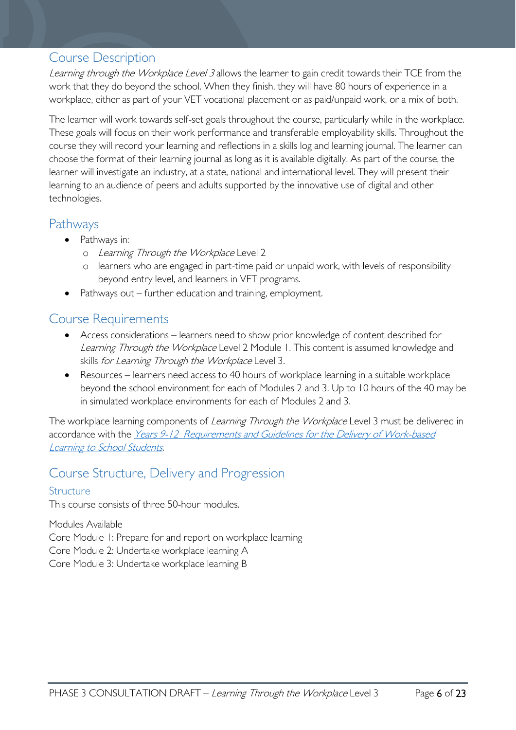### <span id="page-5-0"></span>Course Description

Learning through the Workplace Level 3 allows the learner to gain credit towards their TCE from the work that they do beyond the school. When they finish, they will have 80 hours of experience in a workplace, either as part of your VET vocational placement or as paid/unpaid work, or a mix of both.

The learner will work towards self-set goals throughout the course, particularly while in the workplace. These goals will focus on their work performance and transferable employability skills. Throughout the course they will record your learning and reflections in a skills log and learning journal. The learner can choose the format of their learning journal as long as it is available digitally. As part of the course, the learner will investigate an industry, at a state, national and international level. They will present their learning to an audience of peers and adults supported by the innovative use of digital and other technologies.

### <span id="page-5-1"></span>Pathways

- Pathways in:
	- o Learning Through the Workplace Level 2
	- o learners who are engaged in part-time paid or unpaid work, with levels of responsibility beyond entry level, and learners in VET programs.
- Pathways out further education and training, employment.

### <span id="page-5-2"></span>Course Requirements

- Access considerations learners need to show prior knowledge of content described for Learning Through the Workplace Level 2 Module 1. This content is assumed knowledge and skills for Learning Through the Workplace Level 3.
- Resources learners need access to 40 hours of workplace learning in a suitable workplace beyond the school environment for each of Modules 2 and 3. Up to 10 hours of the 40 may be in simulated workplace environments for each of Modules 2 and 3.

The workplace learning components of Learning Through the Workplace Level 3 must be delivered in accordance with the Years 9-12 Requirements and Guidelines for the Delivery of Work-based [Learning to School Students.](https://publicdocumentcentre.education.tas.gov.au/library/Shared%20Documents/Requirements-and-Guidelines-for-Work-based-Learning.pdf)

# <span id="page-5-3"></span>Course Structure, Delivery and Progression

#### <span id="page-5-4"></span>Structure

This course consists of three 50-hour modules.

Modules Available

Core Module 1: Prepare for and report on workplace learning

Core Module 2: Undertake workplace learning A

Core Module 3: Undertake workplace learning B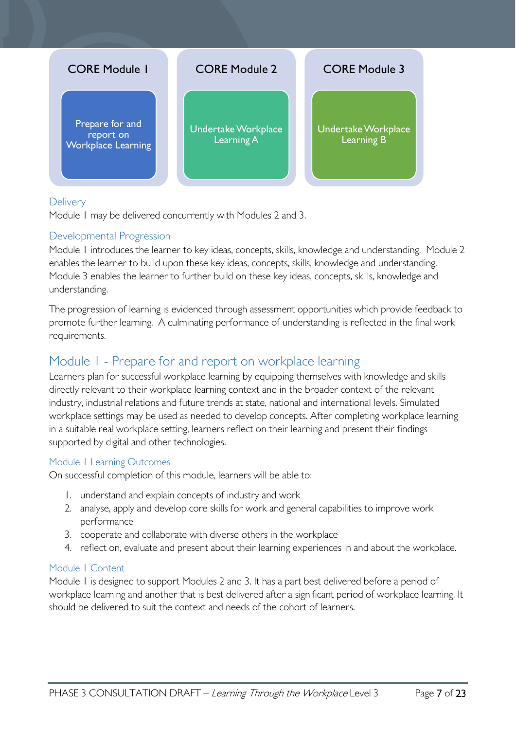

#### <span id="page-6-0"></span>**Delivery**

Module 1 may be delivered concurrently with Modules 2 and 3.

#### <span id="page-6-1"></span>Developmental Progression

Module 1 introduces the learner to key ideas, concepts, skills, knowledge and understanding. Module 2 enables the learner to build upon these key ideas, concepts, skills, knowledge and understanding. Module 3 enables the learner to further build on these key ideas, concepts, skills, knowledge and understanding.

The progression of learning is evidenced through assessment opportunities which provide feedback to promote further learning. A culminating performance of understanding is reflected in the final work requirements.

### <span id="page-6-2"></span>Module 1 - Prepare for and report on workplace learning

Learners plan for successful workplace learning by equipping themselves with knowledge and skills directly relevant to their workplace learning context and in the broader context of the relevant industry, industrial relations and future trends at state, national and international levels. Simulated workplace settings may be used as needed to develop concepts. After completing workplace learning in a suitable real workplace setting, learners reflect on their learning and present their findings supported by digital and other technologies.

#### <span id="page-6-3"></span>Module 1 Learning Outcomes

On successful completion of this module, learners will be able to:

- 1. understand and explain concepts of industry and work
- 2. analyse, apply and develop core skills for work and general capabilities to improve work performance
- 3. cooperate and collaborate with diverse others in the workplace
- 4. reflect on, evaluate and present about their learning experiences in and about the workplace.

#### <span id="page-6-4"></span>Module 1 Content

Module 1 is designed to support Modules 2 and 3. It has a part best delivered before a period of workplace learning and another that is best delivered after a significant period of workplace learning. It should be delivered to suit the context and needs of the cohort of learners.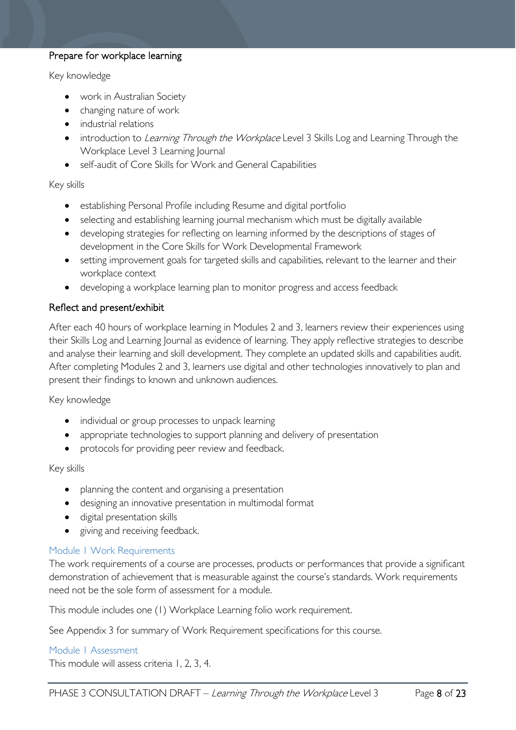#### Prepare for workplace learning

#### Key knowledge

- work in Australian Society
- changing nature of work
- industrial relations
- introduction to *Learning Through the Workplace* Level 3 Skills Log and Learning Through the Workplace Level 3 Learning Journal
- self-audit of Core Skills for Work and General Capabilities

#### Key skills

- establishing Personal Profile including Resume and digital portfolio
- selecting and establishing learning journal mechanism which must be digitally available
- developing strategies for reflecting on learning informed by the descriptions of stages of development in the Core Skills for Work Developmental Framework
- setting improvement goals for targeted skills and capabilities, relevant to the learner and their workplace context
- developing a workplace learning plan to monitor progress and access feedback

#### Reflect and present/exhibit

After each 40 hours of workplace learning in Modules 2 and 3, learners review their experiences using their Skills Log and Learning Journal as evidence of learning. They apply reflective strategies to describe and analyse their learning and skill development. They complete an updated skills and capabilities audit. After completing Modules 2 and 3, learners use digital and other technologies innovatively to plan and present their findings to known and unknown audiences.

Key knowledge

- individual or group processes to unpack learning
- appropriate technologies to support planning and delivery of presentation
- protocols for providing peer review and feedback.

#### Key skills

- planning the content and organising a presentation
- designing an innovative presentation in multimodal format
- digital presentation skills
- giving and receiving feedback.

#### <span id="page-7-0"></span>Module 1 Work Requirements

The work requirements of a course are processes, products or performances that provide a significant demonstration of achievement that is measurable against the course's standards. Work requirements need not be the sole form of assessment for a module.

This module includes one (1) Workplace Learning folio work requirement.

See Appendix 3 for summary of Work Requirement specifications for this course.

#### <span id="page-7-1"></span>Module 1 Assessment

This module will assess criteria 1, 2, 3, 4.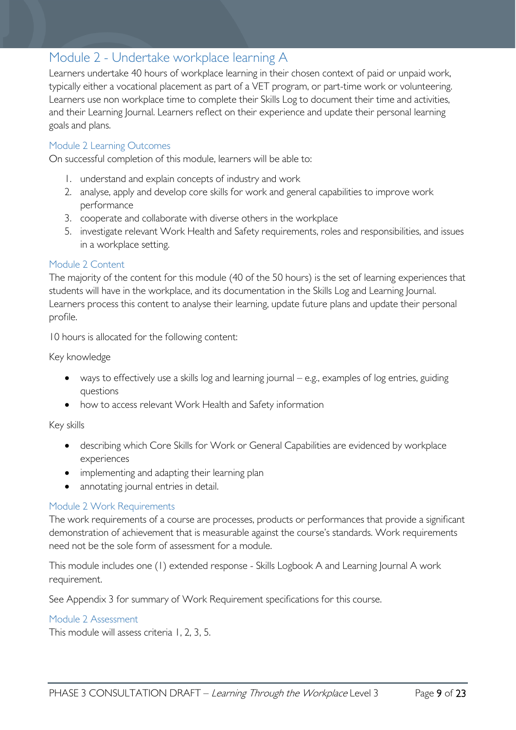## <span id="page-8-0"></span>Module 2 - Undertake workplace learning A

Learners undertake 40 hours of workplace learning in their chosen context of paid or unpaid work, typically either a vocational placement as part of a VET program, or part-time work or volunteering. Learners use non workplace time to complete their Skills Log to document their time and activities, and their Learning Journal. Learners reflect on their experience and update their personal learning goals and plans.

#### <span id="page-8-1"></span>Module 2 Learning Outcomes

On successful completion of this module, learners will be able to:

- 1. understand and explain concepts of industry and work
- 2. analyse, apply and develop core skills for work and general capabilities to improve work performance
- 3. cooperate and collaborate with diverse others in the workplace
- 5. investigate relevant Work Health and Safety requirements, roles and responsibilities, and issues in a workplace setting.

#### <span id="page-8-2"></span>Module 2 Content

The majority of the content for this module (40 of the 50 hours) is the set of learning experiences that students will have in the workplace, and its documentation in the Skills Log and Learning Journal. Learners process this content to analyse their learning, update future plans and update their personal profile.

10 hours is allocated for the following content:

Key knowledge

- ways to effectively use a skills log and learning journal e.g., examples of log entries, guiding questions
- how to access relevant Work Health and Safety information

Key skills

- describing which Core Skills for Work or General Capabilities are evidenced by workplace experiences
- implementing and adapting their learning plan
- annotating journal entries in detail.

#### <span id="page-8-3"></span>Module 2 Work Requirements

The work requirements of a course are processes, products or performances that provide a significant demonstration of achievement that is measurable against the course's standards. Work requirements need not be the sole form of assessment for a module.

This module includes one (1) extended response - Skills Logbook A and Learning Journal A work requirement.

See Appendix 3 for summary of Work Requirement specifications for this course.

#### <span id="page-8-4"></span>Module 2 Assessment

This module will assess criteria 1, 2, 3, 5.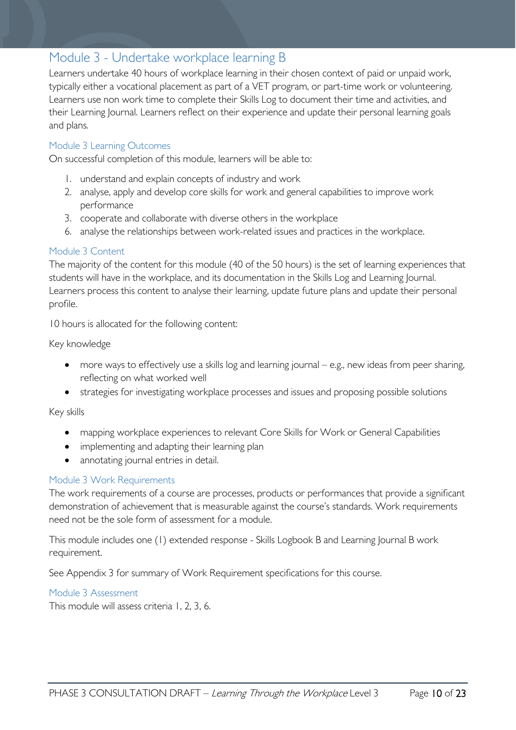## <span id="page-9-0"></span>Module 3 - Undertake workplace learning B

Learners undertake 40 hours of workplace learning in their chosen context of paid or unpaid work, typically either a vocational placement as part of a VET program, or part-time work or volunteering. Learners use non work time to complete their Skills Log to document their time and activities, and their Learning Journal. Learners reflect on their experience and update their personal learning goals and plans.

#### <span id="page-9-1"></span>Module 3 Learning Outcomes

On successful completion of this module, learners will be able to:

- 1. understand and explain concepts of industry and work
- 2. analyse, apply and develop core skills for work and general capabilities to improve work performance
- 3. cooperate and collaborate with diverse others in the workplace
- 6. analyse the relationships between work-related issues and practices in the workplace.

#### <span id="page-9-2"></span>Module 3 Content

The majority of the content for this module (40 of the 50 hours) is the set of learning experiences that students will have in the workplace, and its documentation in the Skills Log and Learning Journal. Learners process this content to analyse their learning, update future plans and update their personal profile.

10 hours is allocated for the following content:

Key knowledge

- more ways to effectively use a skills log and learning journal e.g., new ideas from peer sharing, reflecting on what worked well
- strategies for investigating workplace processes and issues and proposing possible solutions

Key skills

- mapping workplace experiences to relevant Core Skills for Work or General Capabilities
- implementing and adapting their learning plan
- annotating journal entries in detail.

#### <span id="page-9-3"></span>Module 3 Work Requirements

The work requirements of a course are processes, products or performances that provide a significant demonstration of achievement that is measurable against the course's standards. Work requirements need not be the sole form of assessment for a module.

This module includes one (1) extended response - Skills Logbook B and Learning Journal B work requirement.

See Appendix 3 for summary of Work Requirement specifications for this course.

<span id="page-9-4"></span>Module 3 Assessment

This module will assess criteria 1, 2, 3, 6.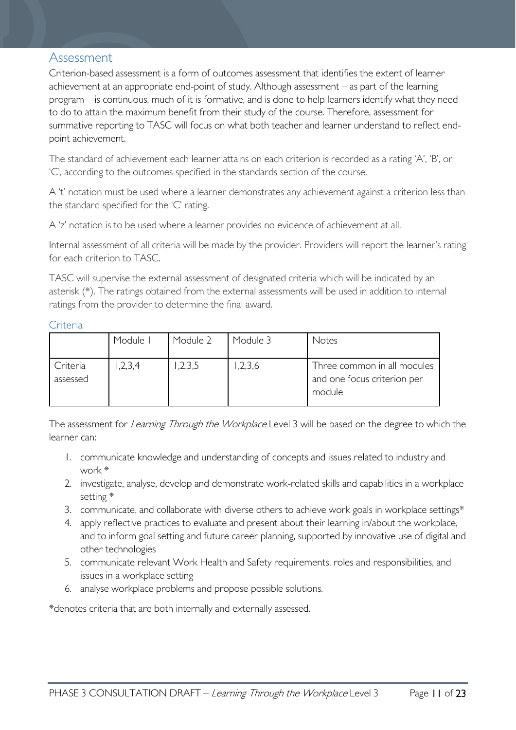#### <span id="page-10-0"></span>Assessment

Criterion-based assessment is a form of outcomes assessment that identifies the extent of learner achievement at an appropriate end-point of study. Although assessment – as part of the learning program – is continuous, much of it is formative, and is done to help learners identify what they need to do to attain the maximum benefit from their study of the course. Therefore, assessment for summative reporting to TASC will focus on what both teacher and learner understand to reflect endpoint achievement.

The standard of achievement each learner attains on each criterion is recorded as a rating 'A', 'B', or 'C', according to the outcomes specified in the standards section of the course.

A 't' notation must be used where a learner demonstrates any achievement against a criterion less than the standard specified for the 'C' rating.

A 'z' notation is to be used where a learner provides no evidence of achievement at all.

Internal assessment of all criteria will be made by the provider. Providers will report the learner's rating for each criterion to TASC.

TASC will supervise the external assessment of designated criteria which will be indicated by an asterisk (\*). The ratings obtained from the external assessments will be used in addition to internal ratings from the provider to determine the final award.

#### <span id="page-10-1"></span>**Criteria**

|                      | Module I | Module 2 | Module 3 | Notes                                                                |
|----------------------|----------|----------|----------|----------------------------------------------------------------------|
| Criteria<br>assessed | ,2,3,4   | ,2,3,5   | 1,2,3,6  | Three common in all modules<br>and one focus criterion per<br>module |

The assessment for *Learning Through the Workplace* Level 3 will be based on the degree to which the learner can:

- 1. communicate knowledge and understanding of concepts and issues related to industry and work \*
- 2. investigate, analyse, develop and demonstrate work-related skills and capabilities in a workplace setting \*
- 3. communicate, and collaborate with diverse others to achieve work goals in workplace settings\*
- 4. apply reflective practices to evaluate and present about their learning in/about the workplace, and to inform goal setting and future career planning, supported by innovative use of digital and other technologies
- 5. communicate relevant Work Health and Safety requirements, roles and responsibilities, and issues in a workplace setting
- 6. analyse workplace problems and propose possible solutions.

\*denotes criteria that are both internally and externally assessed.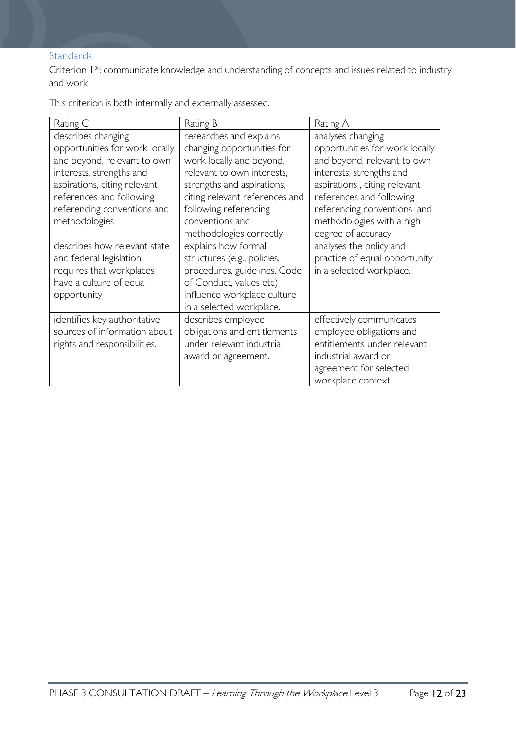#### <span id="page-11-0"></span>**Standards**

Criterion 1\*: communicate knowledge and understanding of concepts and issues related to industry and work

This criterion is both internally and externally assessed.

| Rating C                       | Rating B                       | Rating A                       |
|--------------------------------|--------------------------------|--------------------------------|
| describes changing             | researches and explains        | analyses changing              |
| opportunities for work locally | changing opportunities for     | opportunities for work locally |
| and beyond, relevant to own    | work locally and beyond,       | and beyond, relevant to own    |
| interests, strengths and       | relevant to own interests,     | interests, strengths and       |
| aspirations, citing relevant   | strengths and aspirations,     | aspirations, citing relevant   |
| references and following       | citing relevant references and | references and following       |
| referencing conventions and    | following referencing          | referencing conventions and    |
| methodologies                  | conventions and                | methodologies with a high      |
|                                | methodologies correctly        | degree of accuracy             |
| describes how relevant state   | explains how formal            | analyses the policy and        |
| and federal legislation        | structures (e.g., policies,    | practice of equal opportunity  |
| requires that workplaces       | procedures, guidelines, Code   | in a selected workplace.       |
| have a culture of equal        | of Conduct, values etc)        |                                |
| opportunity                    | influence workplace culture    |                                |
|                                | in a selected workplace.       |                                |
| identifies key authoritative   | describes employee             | effectively communicates       |
| sources of information about   | obligations and entitlements   | employee obligations and       |
| rights and responsibilities.   | under relevant industrial      | entitlements under relevant    |
|                                | award or agreement.            | industrial award or            |
|                                |                                | agreement for selected         |
|                                |                                | workplace context.             |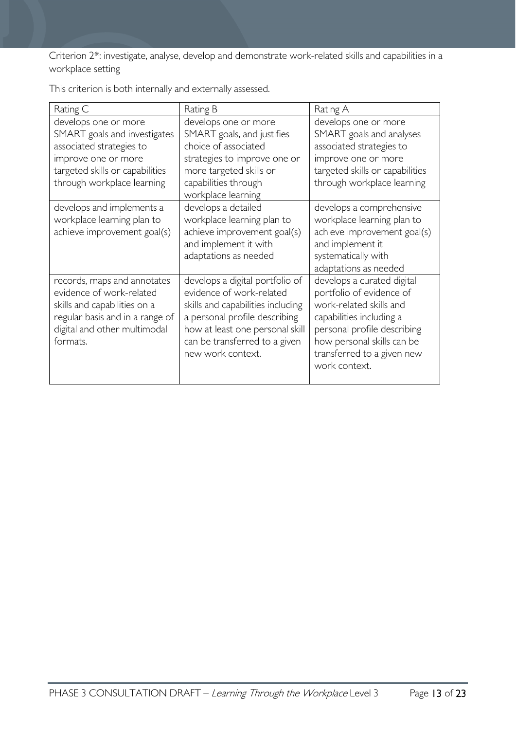Criterion 2\*: investigate, analyse, develop and demonstrate work-related skills and capabilities in a workplace setting

| Rating C                                                                                                                                                                 | Rating B                                                                                                                                                                                                                   | Rating A                                                                                                                                                                                                                  |
|--------------------------------------------------------------------------------------------------------------------------------------------------------------------------|----------------------------------------------------------------------------------------------------------------------------------------------------------------------------------------------------------------------------|---------------------------------------------------------------------------------------------------------------------------------------------------------------------------------------------------------------------------|
| develops one or more<br>SMART goals and investigates<br>associated strategies to<br>improve one or more<br>targeted skills or capabilities<br>through workplace learning | develops one or more<br>SMART goals, and justifies<br>choice of associated<br>strategies to improve one or<br>more targeted skills or<br>capabilities through<br>workplace learning                                        | develops one or more<br>SMART goals and analyses<br>associated strategies to<br>improve one or more<br>targeted skills or capabilities<br>through workplace learning                                                      |
| develops and implements a<br>workplace learning plan to<br>achieve improvement goal(s)                                                                                   | develops a detailed<br>workplace learning plan to<br>achieve improvement goal(s)<br>and implement it with<br>adaptations as needed                                                                                         | develops a comprehensive<br>workplace learning plan to<br>achieve improvement goal(s)<br>and implement it<br>systematically with<br>adaptations as needed                                                                 |
| records, maps and annotates<br>evidence of work-related<br>skills and capabilities on a<br>regular basis and in a range of<br>digital and other multimodal<br>formats.   | develops a digital portfolio of<br>evidence of work-related<br>skills and capabilities including<br>a personal profile describing<br>how at least one personal skill<br>can be transferred to a given<br>new work context. | develops a curated digital<br>portfolio of evidence of<br>work-related skills and<br>capabilities including a<br>personal profile describing<br>how personal skills can be<br>transferred to a given new<br>work context. |

This criterion is both internally and externally assessed.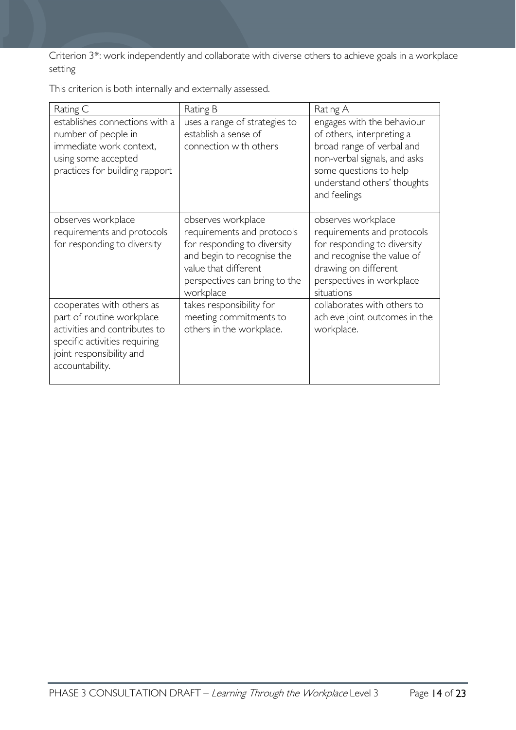Criterion 3\*: work independently and collaborate with diverse others to achieve goals in a workplace setting

|  | This criterion is both internally and externally assessed. |
|--|------------------------------------------------------------|
|--|------------------------------------------------------------|

| Rating C                                                                                                                                                                | Rating B                                                                                                                                                                            | Rating A                                                                                                                                                                                      |
|-------------------------------------------------------------------------------------------------------------------------------------------------------------------------|-------------------------------------------------------------------------------------------------------------------------------------------------------------------------------------|-----------------------------------------------------------------------------------------------------------------------------------------------------------------------------------------------|
| establishes connections with a<br>number of people in<br>immediate work context,<br>using some accepted<br>practices for building rapport                               | uses a range of strategies to<br>establish a sense of<br>connection with others                                                                                                     | engages with the behaviour<br>of others, interpreting a<br>broad range of verbal and<br>non-verbal signals, and asks<br>some questions to help<br>understand others' thoughts<br>and feelings |
| observes workplace<br>requirements and protocols<br>for responding to diversity                                                                                         | observes workplace<br>requirements and protocols<br>for responding to diversity<br>and begin to recognise the<br>value that different<br>perspectives can bring to the<br>workplace | observes workplace<br>requirements and protocols<br>for responding to diversity<br>and recognise the value of<br>drawing on different<br>perspectives in workplace<br>situations              |
| cooperates with others as<br>part of routine workplace<br>activities and contributes to<br>specific activities requiring<br>joint responsibility and<br>accountability. | takes responsibility for<br>meeting commitments to<br>others in the workplace.                                                                                                      | collaborates with others to<br>achieve joint outcomes in the<br>workplace.                                                                                                                    |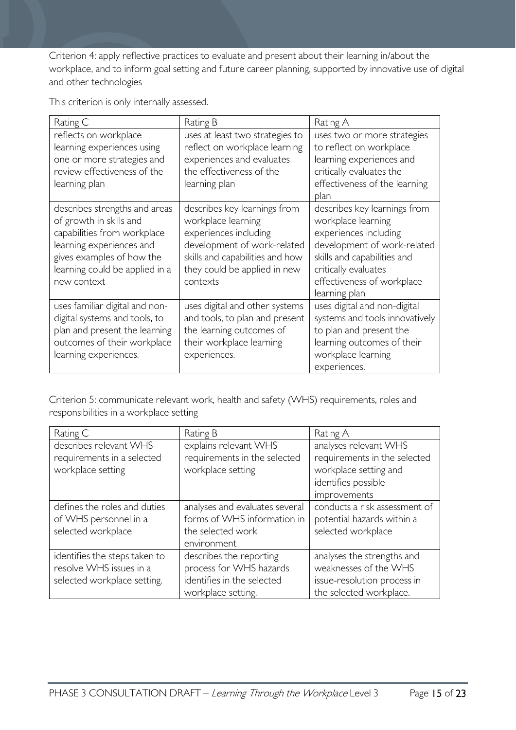Criterion 4: apply reflective practices to evaluate and present about their learning in/about the workplace, and to inform goal setting and future career planning, supported by innovative use of digital and other technologies

This criterion is only internally assessed.

| Rating C                       | Rating B                        | Rating A                       |
|--------------------------------|---------------------------------|--------------------------------|
| reflects on workplace          | uses at least two strategies to | uses two or more strategies    |
| learning experiences using     | reflect on workplace learning   | to reflect on workplace        |
| one or more strategies and     | experiences and evaluates       | learning experiences and       |
| review effectiveness of the    | the effectiveness of the        | critically evaluates the       |
| learning plan                  | learning plan                   | effectiveness of the learning  |
|                                |                                 | plan                           |
| describes strengths and areas  | describes key learnings from    | describes key learnings from   |
| of growth in skills and        | workplace learning              | workplace learning             |
| capabilities from workplace    | experiences including           | experiences including          |
| learning experiences and       | development of work-related     | development of work-related    |
| gives examples of how the      | skills and capabilities and how | skills and capabilities and    |
| learning could be applied in a | they could be applied in new    | critically evaluates           |
| new context                    | contexts                        | effectiveness of workplace     |
|                                |                                 | learning plan                  |
| uses familiar digital and non- | uses digital and other systems  | uses digital and non-digital   |
| digital systems and tools, to  | and tools, to plan and present  | systems and tools innovatively |
| plan and present the learning  | the learning outcomes of        | to plan and present the        |
| outcomes of their workplace    | their workplace learning        | learning outcomes of their     |
| learning experiences.          | experiences.                    | workplace learning             |
|                                |                                 | experiences.                   |

Criterion 5: communicate relevant work, health and safety (WHS) requirements, roles and responsibilities in a workplace setting

| Rating C                                                                                | Rating B                                                                                               | Rating A                                                                                                              |
|-----------------------------------------------------------------------------------------|--------------------------------------------------------------------------------------------------------|-----------------------------------------------------------------------------------------------------------------------|
| describes relevant WHS<br>requirements in a selected<br>workplace setting               | explains relevant WHS<br>requirements in the selected<br>workplace setting                             | analyses relevant WHS<br>requirements in the selected<br>workplace setting and<br>identifies possible<br>improvements |
| defines the roles and duties<br>of WHS personnel in a<br>selected workplace             | analyses and evaluates several<br>forms of WHS information in<br>the selected work<br>environment      | conducts a risk assessment of<br>potential hazards within a<br>selected workplace                                     |
| identifies the steps taken to<br>resolve WHS issues in a<br>selected workplace setting. | describes the reporting<br>process for WHS hazards<br>identifies in the selected<br>workplace setting. | analyses the strengths and<br>weaknesses of the WHS<br>issue-resolution process in<br>the selected workplace.         |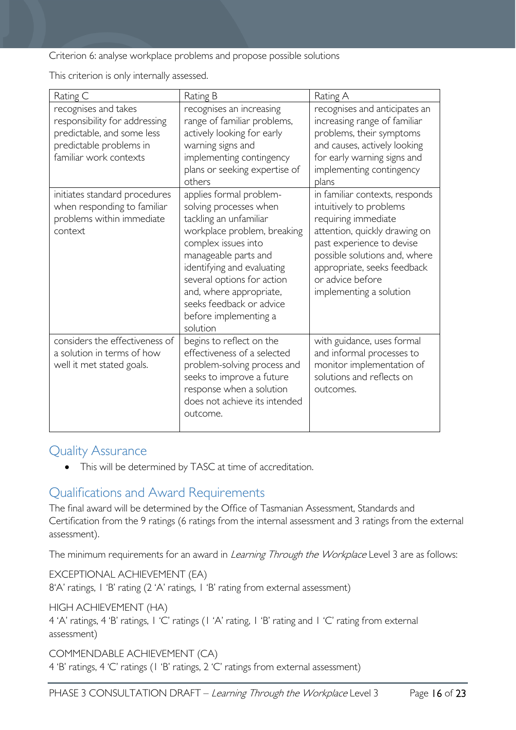Criterion 6: analyse workplace problems and propose possible solutions

This criterion is only internally assessed.

| Rating C                                                                                                                                 | Rating B                                                                                                                                                                                                                                                                                                          | Rating A                                                                                                                                                                                                                                                      |
|------------------------------------------------------------------------------------------------------------------------------------------|-------------------------------------------------------------------------------------------------------------------------------------------------------------------------------------------------------------------------------------------------------------------------------------------------------------------|---------------------------------------------------------------------------------------------------------------------------------------------------------------------------------------------------------------------------------------------------------------|
| recognises and takes<br>responsibility for addressing<br>predictable, and some less<br>predictable problems in<br>familiar work contexts | recognises an increasing<br>range of familiar problems,<br>actively looking for early<br>warning signs and<br>implementing contingency<br>plans or seeking expertise of<br>others                                                                                                                                 | recognises and anticipates an<br>increasing range of familiar<br>problems, their symptoms<br>and causes, actively looking<br>for early warning signs and<br>implementing contingency<br>plans                                                                 |
| initiates standard procedures<br>when responding to familiar<br>problems within immediate<br>context                                     | applies formal problem-<br>solving processes when<br>tackling an unfamiliar<br>workplace problem, breaking<br>complex issues into<br>manageable parts and<br>identifying and evaluating<br>several options for action<br>and, where appropriate,<br>seeks feedback or advice<br>before implementing a<br>solution | in familiar contexts, responds<br>intuitively to problems<br>requiring immediate<br>attention, quickly drawing on<br>past experience to devise<br>possible solutions and, where<br>appropriate, seeks feedback<br>or advice before<br>implementing a solution |
| considers the effectiveness of<br>a solution in terms of how<br>well it met stated goals.                                                | begins to reflect on the<br>effectiveness of a selected<br>problem-solving process and<br>seeks to improve a future<br>response when a solution<br>does not achieve its intended<br>outcome.                                                                                                                      | with guidance, uses formal<br>and informal processes to<br>monitor implementation of<br>solutions and reflects on<br>outcomes.                                                                                                                                |

### <span id="page-15-0"></span>Quality Assurance

• This will be determined by TASC at time of accreditation.

### <span id="page-15-1"></span>Qualifications and Award Requirements

The final award will be determined by the Office of Tasmanian Assessment, Standards and Certification from the 9 ratings (6 ratings from the internal assessment and 3 ratings from the external assessment).

The minimum requirements for an award in *Learning Through the Workplace* Level 3 are as follows:

EXCEPTIONAL ACHIEVEMENT (EA) 8'A' ratings, 1 'B' rating (2 'A' ratings, 1 'B' rating from external assessment)

HIGH ACHIEVEMENT (HA)

4 'A' ratings, 4 'B' ratings, 1 'C' ratings (1 'A' rating, 1 'B' rating and 1 'C' rating from external assessment)

COMMENDABLE ACHIEVEMENT (CA) 4 'B' ratings, 4 'C' ratings (1 'B' ratings, 2 'C' ratings from external assessment)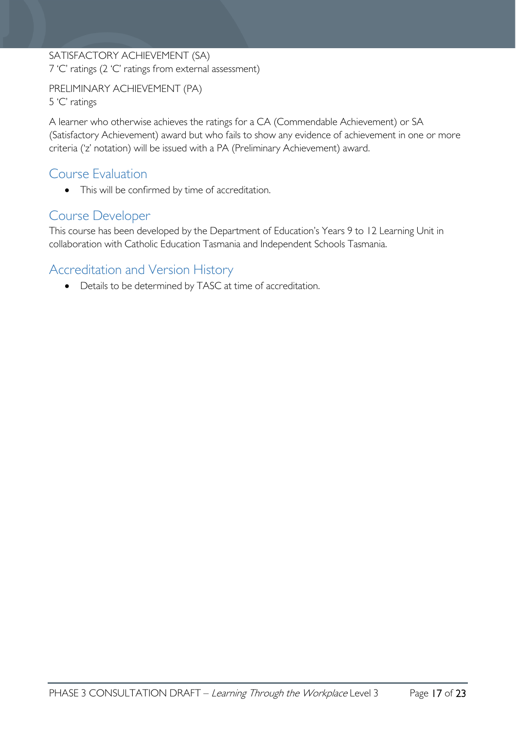#### SATISFACTORY ACHIEVEMENT (SA) 7 'C' ratings (2 'C' ratings from external assessment)

PRELIMINARY ACHIEVEMENT (PA) 5 'C' ratings

A learner who otherwise achieves the ratings for a CA (Commendable Achievement) or SA (Satisfactory Achievement) award but who fails to show any evidence of achievement in one or more criteria ('z' notation) will be issued with a PA (Preliminary Achievement) award.

### <span id="page-16-0"></span>Course Evaluation

• This will be confirmed by time of accreditation.

## <span id="page-16-1"></span>Course Developer

This course has been developed by the Department of Education's Years 9 to 12 Learning Unit in collaboration with Catholic Education Tasmania and Independent Schools Tasmania.

# <span id="page-16-2"></span>Accreditation and Version History

• Details to be determined by TASC at time of accreditation.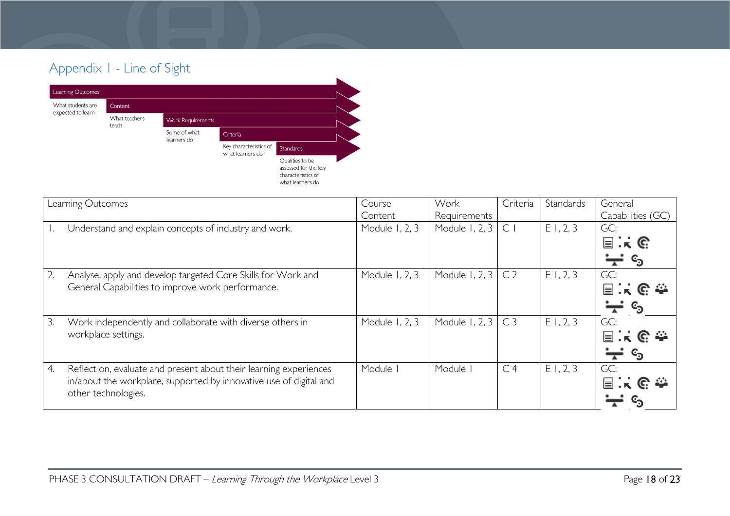# Appendix 1 - Line of Sight



<span id="page-17-0"></span>

|    | Learning Outcomes                                                                                                                                              | Course<br>Content | Work<br>Requirements | Criteria       | Standards | General<br>Capabilities (GC)                                                                            |
|----|----------------------------------------------------------------------------------------------------------------------------------------------------------------|-------------------|----------------------|----------------|-----------|---------------------------------------------------------------------------------------------------------|
|    | Understand and explain concepts of industry and work.                                                                                                          | Module 1, 2, 3    | Module 1, 2, 3       | $\subset$      | E1, 2, 3  | GC:<br>$\Xi$ : $\kappa$ G<br>$\mathbf{c_3}$<br>$\overline{ }$                                           |
| 2. | Analyse, apply and develop targeted Core Skills for Work and<br>General Capabilities to improve work performance.                                              | Module 1, 2, 3    | Module 1, 2, 3       | C <sub>2</sub> | E1, 2, 3  | GC:<br>$\equiv$ $\cdot$ $\kappa$ $\in$ $\cong$<br>$\mathbb{c}_\mathfrak{D}$<br>$\overline{\phantom{a}}$ |
| 3. | Work independently and collaborate with diverse others in<br>workplace settings.                                                                               | Module 1, 2, 3    | Module 1, 2, 3       | C <sub>3</sub> | E1, 2, 3  | GC:<br>$\mathbf{r} \in \mathbb{R}$ is a set $\mathbb{R}^n$<br>$\mathbf{c_3}$                            |
| 4. | Reflect on, evaluate and present about their learning experiences<br>in/about the workplace, supported by innovative use of digital and<br>other technologies. | Module            | Module               | C <sub>4</sub> | E1, 2, 3  | GC:<br>$\equiv$                                                                                         |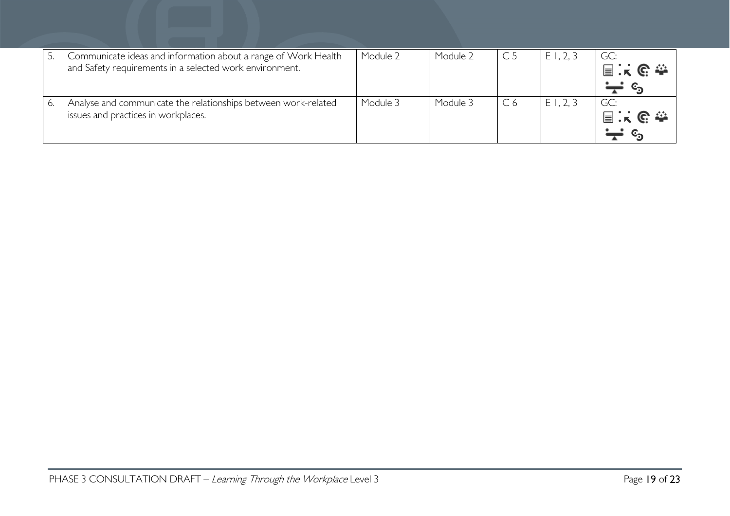| Communicate ideas and information about a range of Work Health<br>and Safety requirements in a selected work environment. | Module 2 | Module 2 |                | E1, 2, 3 | GC:<br>国民民泰 |
|---------------------------------------------------------------------------------------------------------------------------|----------|----------|----------------|----------|-------------|
| Analyse and communicate the relationships between work-related<br>issues and practices in workplaces.                     | Module 3 | Module 3 | C <sub>6</sub> | E1, 2, 3 | GC:<br>国兴区泰 |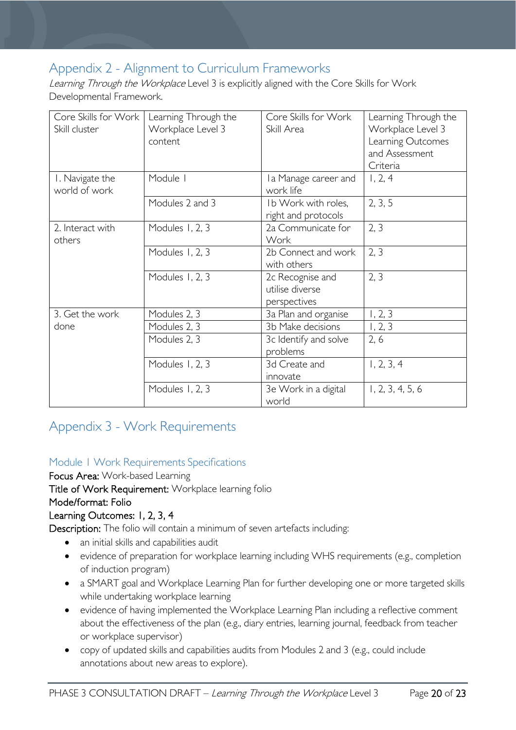# <span id="page-19-0"></span>Appendix 2 - Alignment to Curriculum Frameworks

Learning Through the Workplace Level 3 is explicitly aligned with the Core Skills for Work Developmental Framework.

| Core Skills for Work  <br>Skill cluster | Learning Through the<br>Workplace Level 3<br>content | Core Skills for Work<br>Skill Area                  | Learning Through the<br>Workplace Level 3<br>Learning Outcomes |
|-----------------------------------------|------------------------------------------------------|-----------------------------------------------------|----------------------------------------------------------------|
|                                         |                                                      |                                                     | and Assessment<br>Criteria                                     |
| I. Navigate the<br>world of work        | Module I                                             | I a Manage career and<br>work life                  | 1, 2, 4                                                        |
|                                         | Modules 2 and 3                                      | Ib Work with roles,<br>right and protocols          | 2, 3, 5                                                        |
| 2. Interact with<br>others              | Modules 1, 2, 3                                      | 2a Communicate for<br>Work                          | 2, 3                                                           |
|                                         | Modules 1, 2, 3                                      | 2b Connect and work<br>with others                  | 2, 3                                                           |
|                                         | Modules 1, 2, 3                                      | 2c Recognise and<br>utilise diverse<br>perspectives | 2, 3                                                           |
| 3. Get the work                         | Modules 2, 3                                         | 3a Plan and organise                                | 1, 2, 3                                                        |
| done                                    | Modules 2, 3                                         | 3b Make decisions                                   | 1, 2, 3                                                        |
|                                         | Modules 2, 3                                         | 3c Identify and solve<br>problems                   | 2, 6                                                           |
|                                         | Modules 1, 2, 3                                      | 3d Create and<br>innovate                           | 1, 2, 3, 4                                                     |
|                                         | Modules 1, 2, 3                                      | 3e Work in a digital<br>world                       | 1, 2, 3, 4, 5, 6                                               |

# <span id="page-19-1"></span>Appendix 3 - Work Requirements

### <span id="page-19-2"></span>Module 1 Work Requirements Specifications

Focus Area: Work-based Learning Title of Work Requirement: Workplace learning folio Mode/format: Folio Learning Outcomes: 1, 2, 3, 4

Description: The folio will contain a minimum of seven artefacts including:

- an initial skills and capabilities audit
- evidence of preparation for workplace learning including WHS requirements (e.g., completion of induction program)
- a SMART goal and Workplace Learning Plan for further developing one or more targeted skills while undertaking workplace learning
- evidence of having implemented the Workplace Learning Plan including a reflective comment about the effectiveness of the plan (e.g., diary entries, learning journal, feedback from teacher or workplace supervisor)
- copy of updated skills and capabilities audits from Modules 2 and 3 (e.g., could include annotations about new areas to explore).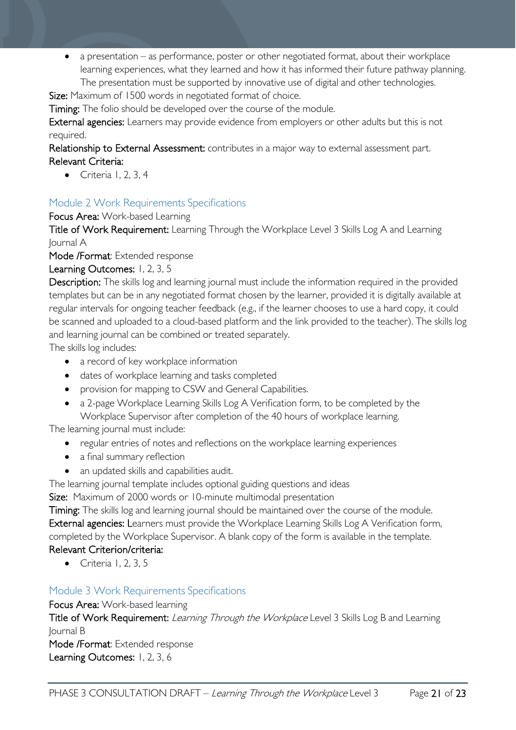• a presentation – as performance, poster or other negotiated format, about their workplace learning experiences, what they learned and how it has informed their future pathway planning. The presentation must be supported by innovative use of digital and other technologies.

Size: Maximum of 1500 words in negotiated format of choice.

Timing: The folio should be developed over the course of the module.

External agencies: Learners may provide evidence from employers or other adults but this is not required.

Relationship to External Assessment: contributes in a major way to external assessment part. Relevant Criteria:

• Criteria 1, 2, 3, 4

#### <span id="page-20-0"></span>Module 2 Work Requirements Specifications

Focus Area: Work-based Learning

Title of Work Requirement: Learning Through the Workplace Level 3 Skills Log A and Learning Journal A

Mode /Format: Extended response

#### Learning Outcomes: 1, 2, 3, 5

Description: The skills log and learning journal must include the information required in the provided templates but can be in any negotiated format chosen by the learner, provided it is digitally available at regular intervals for ongoing teacher feedback (e.g., if the learner chooses to use a hard copy, it could be scanned and uploaded to a cloud-based platform and the link provided to the teacher). The skills log and learning journal can be combined or treated separately.

The skills log includes:

- a record of key workplace information
- dates of workplace learning and tasks completed
- provision for mapping to CSW and General Capabilities.
- a 2-page Workplace Learning Skills Log A Verification form, to be completed by the Workplace Supervisor after completion of the 40 hours of workplace learning.

The learning journal must include:

- regular entries of notes and reflections on the workplace learning experiences
- a final summary reflection
- an updated skills and capabilities audit.

The learning journal template includes optional guiding questions and ideas

Size: Maximum of 2000 words or 10-minute multimodal presentation

Timing: The skills log and learning journal should be maintained over the course of the module. External agencies: Learners must provide the Workplace Learning Skills Log A Verification form, completed by the Workplace Supervisor. A blank copy of the form is available in the template. Relevant Criterion/criteria:

• Criteria 1, 2, 3, 5

#### <span id="page-20-1"></span>Module 3 Work Requirements Specifications

Focus Area: Work-based learning

Title of Work Requirement: *Learning Through the Workplace* Level 3 Skills Log B and Learning Journal B

Mode /Format: Extended response Learning Outcomes: 1, 2, 3, 6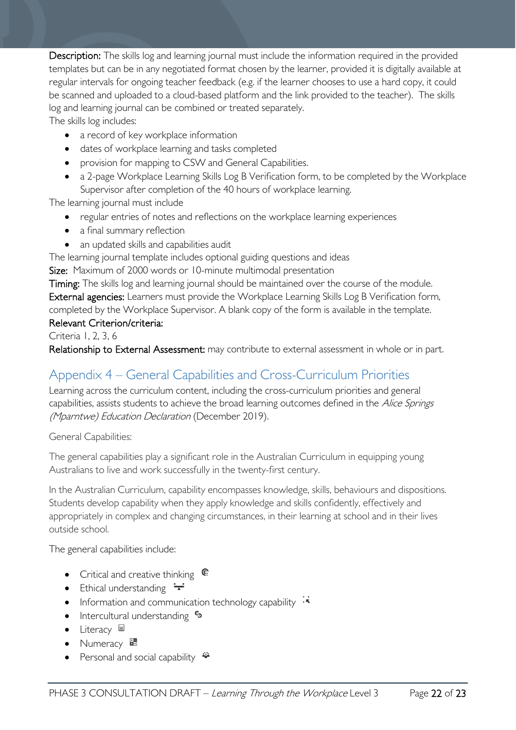Description: The skills log and learning journal must include the information required in the provided templates but can be in any negotiated format chosen by the learner, provided it is digitally available at regular intervals for ongoing teacher feedback (e.g. if the learner chooses to use a hard copy, it could be scanned and uploaded to a cloud-based platform and the link provided to the teacher). The skills log and learning journal can be combined or treated separately. The skills log includes:

• a record of key workplace information

- dates of workplace learning and tasks completed
- provision for mapping to CSW and General Capabilities.
- a 2-page Workplace Learning Skills Log B Verification form, to be completed by the Workplace Supervisor after completion of the 40 hours of workplace learning.

The learning journal must include

- regular entries of notes and reflections on the workplace learning experiences
- a final summary reflection
- an updated skills and capabilities audit

The learning journal template includes optional guiding questions and ideas

Size: Maximum of 2000 words or 10-minute multimodal presentation

Timing: The skills log and learning journal should be maintained over the course of the module. External agencies: Learners must provide the Workplace Learning Skills Log B Verification form, completed by the Workplace Supervisor. A blank copy of the form is available in the template. Relevant Criterion/criteria:

Criteria 1, 2, 3, 6

Relationship to External Assessment: may contribute to external assessment in whole or in part.

# <span id="page-21-0"></span>Appendix 4 – General Capabilities and Cross-Curriculum Priorities

Learning across the curriculum content, including the cross-curriculum priorities and general capabilities, assists students to achieve the broad learning outcomes defined in the Alice Springs (Mparntwe) Education Declaration (December 2019).

General Capabilities:

The general capabilities play a significant role in the Australian Curriculum in equipping young Australians to live and work successfully in the twenty-first century.

In the Australian Curriculum, capability encompasses knowledge, skills, behaviours and dispositions. Students develop capability when they apply knowledge and skills confidently, effectively and appropriately in complex and changing circumstances, in their learning at school and in their lives outside school.

The general capabilities include:

- Critical and creative thinking  $\mathbb{C}$
- Ethical understanding  $\div$
- Information and communication technology capability  $\cdot\overline{\cdot}$
- Intercultural understanding •
- Literacy
- Numeracy  $\overline{\mathbb{R}}$
- Personal and social capability